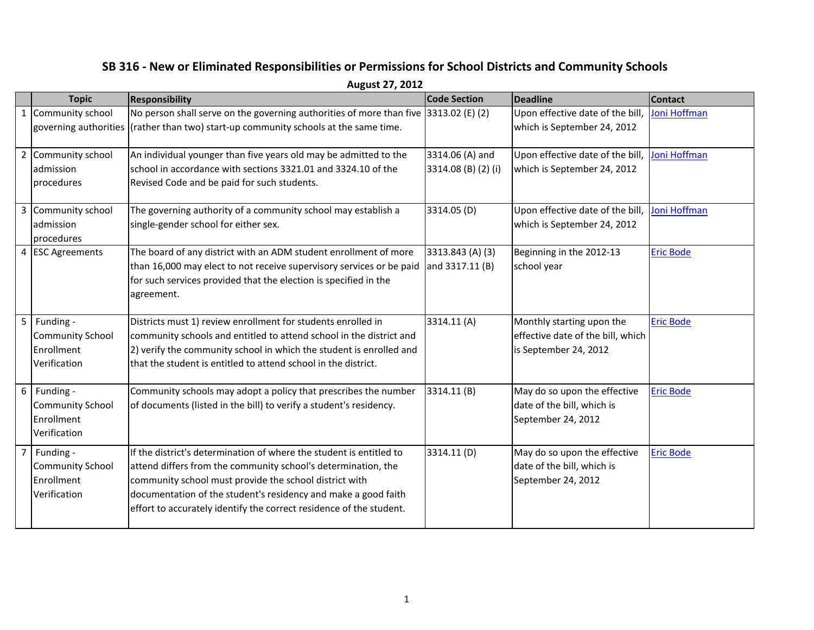|              | August 27, 2012                                                    |                                                                                                                                                                                                                                                                                                                                         |                                        |                                                                                         |                  |  |  |
|--------------|--------------------------------------------------------------------|-----------------------------------------------------------------------------------------------------------------------------------------------------------------------------------------------------------------------------------------------------------------------------------------------------------------------------------------|----------------------------------------|-----------------------------------------------------------------------------------------|------------------|--|--|
|              | <b>Topic</b>                                                       | <b>Responsibility</b>                                                                                                                                                                                                                                                                                                                   | <b>Code Section</b>                    | <b>Deadline</b>                                                                         | <b>Contact</b>   |  |  |
| $\mathbf{1}$ | Community school                                                   | No person shall serve on the governing authorities of more than five 3313.02 (E) (2)<br>governing authorities (rather than two) start-up community schools at the same time.                                                                                                                                                            |                                        | Upon effective date of the bill,<br>which is September 24, 2012                         | Joni Hoffman     |  |  |
| 2            | Community school<br>admission<br>procedures                        | An individual younger than five years old may be admitted to the<br>school in accordance with sections 3321.01 and 3324.10 of the<br>Revised Code and be paid for such students.                                                                                                                                                        | 3314.06 (A) and<br>3314.08 (B) (2) (i) | Upon effective date of the bill,<br>which is September 24, 2012                         | Joni Hoffman     |  |  |
|              | 3 Community school<br>admission<br>procedures                      | The governing authority of a community school may establish a<br>single-gender school for either sex.                                                                                                                                                                                                                                   | 3314.05 (D)                            | Upon effective date of the bill,<br>which is September 24, 2012                         | Joni Hoffman     |  |  |
|              | 4 ESC Agreements                                                   | The board of any district with an ADM student enrollment of more<br>than 16,000 may elect to not receive supervisory services or be paid<br>for such services provided that the election is specified in the<br>agreement.                                                                                                              | 3313.843 (A) (3)<br>and 3317.11 (B)    | Beginning in the 2012-13<br>school year                                                 | <b>Eric Bode</b> |  |  |
| 5            | Funding -<br><b>Community School</b><br>Enrollment<br>Verification | Districts must 1) review enrollment for students enrolled in<br>community schools and entitled to attend school in the district and<br>2) verify the community school in which the student is enrolled and<br>that the student is entitled to attend school in the district.                                                            | 3314.11(A)                             | Monthly starting upon the<br>effective date of the bill, which<br>is September 24, 2012 | <b>Eric Bode</b> |  |  |
| 6            | Funding -<br><b>Community School</b><br>Enrollment<br>Verification | Community schools may adopt a policy that prescribes the number<br>of documents (listed in the bill) to verify a student's residency.                                                                                                                                                                                                   | 3314.11(B)                             | May do so upon the effective<br>date of the bill, which is<br>September 24, 2012        | <b>Eric Bode</b> |  |  |
|              | Funding -<br><b>Community School</b><br>Enrollment<br>Verification | If the district's determination of where the student is entitled to<br>attend differs from the community school's determination, the<br>community school must provide the school district with<br>documentation of the student's residency and make a good faith<br>effort to accurately identify the correct residence of the student. | 3314.11 (D)                            | May do so upon the effective<br>date of the bill, which is<br>September 24, 2012        | <b>Eric Bode</b> |  |  |

## **SB 316 - New or Eliminated Responsibilities or Permissions for School Districts and Community Schools**

1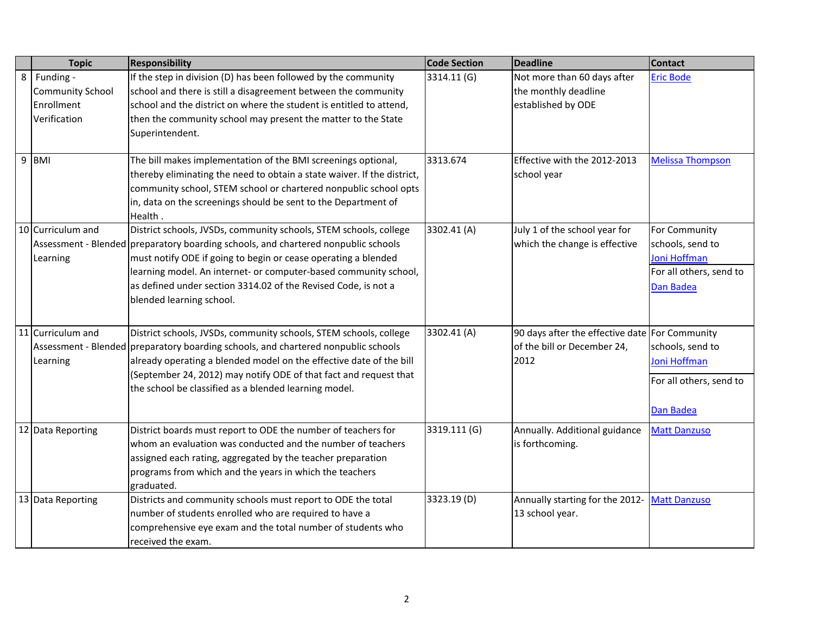| <b>Topic</b>            | <b>Responsibility</b>                                                              | <b>Code Section</b> | <b>Deadline</b>                                | <b>Contact</b>          |
|-------------------------|------------------------------------------------------------------------------------|---------------------|------------------------------------------------|-------------------------|
| 8 Funding -             | If the step in division (D) has been followed by the community                     | 3314.11 (G)         | Not more than 60 days after                    | <b>Eric Bode</b>        |
| <b>Community School</b> | school and there is still a disagreement between the community                     |                     | the monthly deadline                           |                         |
| Enrollment              | school and the district on where the student is entitled to attend,                |                     | established by ODE                             |                         |
| Verification            | then the community school may present the matter to the State                      |                     |                                                |                         |
|                         | Superintendent.                                                                    |                     |                                                |                         |
|                         |                                                                                    |                     |                                                |                         |
| 9 BMI                   | The bill makes implementation of the BMI screenings optional,                      | 3313.674            | Effective with the 2012-2013                   | <b>Melissa Thompson</b> |
|                         | thereby eliminating the need to obtain a state waiver. If the district,            |                     | school year                                    |                         |
|                         | community school, STEM school or chartered nonpublic school opts                   |                     |                                                |                         |
|                         | in, data on the screenings should be sent to the Department of                     |                     |                                                |                         |
| 10 Curriculum and       | Health.<br>District schools, JVSDs, community schools, STEM schools, college       | 3302.41(A)          | July 1 of the school year for                  | For Community           |
|                         | Assessment - Blended preparatory boarding schools, and chartered nonpublic schools |                     | which the change is effective                  | schools, send to        |
| Learning                | must notify ODE if going to begin or cease operating a blended                     |                     |                                                | Joni Hoffman            |
|                         | learning model. An internet- or computer-based community school,                   |                     |                                                | For all others, send to |
|                         | as defined under section 3314.02 of the Revised Code, is not a                     |                     |                                                | Dan Badea               |
|                         | blended learning school.                                                           |                     |                                                |                         |
|                         |                                                                                    |                     |                                                |                         |
|                         |                                                                                    |                     |                                                |                         |
| 11 Curriculum and       | District schools, JVSDs, community schools, STEM schools, college                  | 3302.41 (A)         | 90 days after the effective date For Community |                         |
|                         | Assessment - Blended preparatory boarding schools, and chartered nonpublic schools |                     | of the bill or December 24,<br>2012            | schools, send to        |
| Learning                | already operating a blended model on the effective date of the bill                |                     |                                                | Joni Hoffman            |
|                         | (September 24, 2012) may notify ODE of that fact and request that                  |                     |                                                | For all others, send to |
|                         | the school be classified as a blended learning model.                              |                     |                                                |                         |
|                         |                                                                                    |                     |                                                | Dan Badea               |
| 12 Data Reporting       | District boards must report to ODE the number of teachers for                      | 3319.111 (G)        | Annually. Additional guidance                  | <b>Matt Danzuso</b>     |
|                         | whom an evaluation was conducted and the number of teachers                        |                     | is forthcoming.                                |                         |
|                         | assigned each rating, aggregated by the teacher preparation                        |                     |                                                |                         |
|                         | programs from which and the years in which the teachers                            |                     |                                                |                         |
|                         | graduated.                                                                         |                     |                                                |                         |
| 13 Data Reporting       | Districts and community schools must report to ODE the total                       | 3323.19(D)          | Annually starting for the 2012-                | <b>Matt Danzuso</b>     |
|                         | number of students enrolled who are required to have a                             |                     | 13 school year.                                |                         |
|                         | comprehensive eye exam and the total number of students who                        |                     |                                                |                         |
|                         | received the exam.                                                                 |                     |                                                |                         |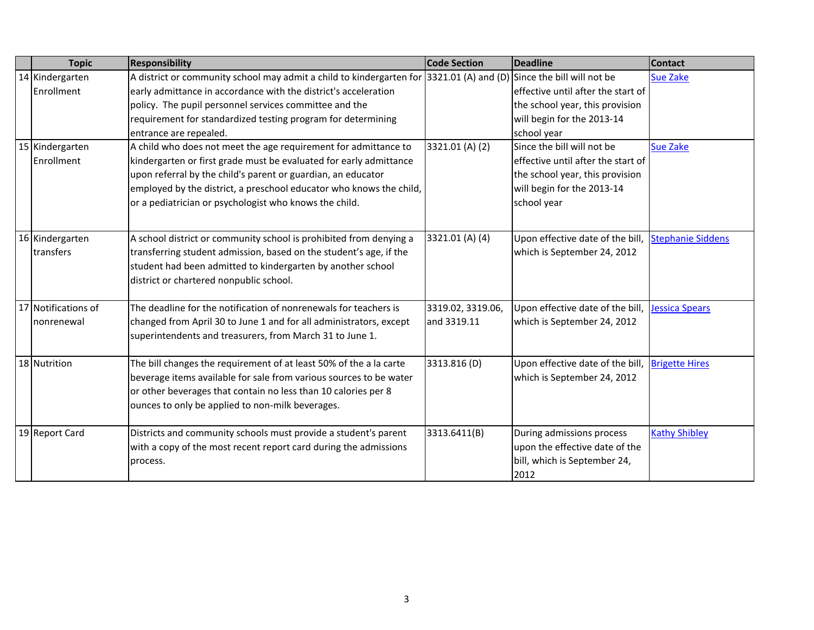| <b>Topic</b>        | <b>Responsibility</b>                                                                    | <b>Code Section</b> | <b>Deadline</b>                     | <b>Contact</b>           |
|---------------------|------------------------------------------------------------------------------------------|---------------------|-------------------------------------|--------------------------|
| 14 Kindergarten     | A district or community school may admit a child to kindergarten for 3321.01 (A) and (D) |                     | Since the bill will not be          | <b>Sue Zake</b>          |
| Enrollment          | early admittance in accordance with the district's acceleration                          |                     | effective until after the start of  |                          |
|                     | policy. The pupil personnel services committee and the                                   |                     | the school year, this provision     |                          |
|                     | requirement for standardized testing program for determining                             |                     | will begin for the 2013-14          |                          |
|                     | entrance are repealed.                                                                   |                     | school year                         |                          |
| 15 Kindergarten     | A child who does not meet the age requirement for admittance to                          | 3321.01 (A) (2)     | Since the bill will not be          | <b>Sue Zake</b>          |
| Enrollment          | kindergarten or first grade must be evaluated for early admittance                       |                     | leffective until after the start of |                          |
|                     | upon referral by the child's parent or guardian, an educator                             |                     | the school year, this provision     |                          |
|                     | employed by the district, a preschool educator who knows the child,                      |                     | will begin for the 2013-14          |                          |
|                     | or a pediatrician or psychologist who knows the child.                                   |                     | school year                         |                          |
|                     |                                                                                          |                     |                                     |                          |
| 16 Kindergarten     | A school district or community school is prohibited from denying a                       | 3321.01 (A) (4)     | Upon effective date of the bill,    | <b>Stephanie Siddens</b> |
| transfers           | transferring student admission, based on the student's age, if the                       |                     | which is September 24, 2012         |                          |
|                     | student had been admitted to kindergarten by another school                              |                     |                                     |                          |
|                     | district or chartered nonpublic school.                                                  |                     |                                     |                          |
|                     |                                                                                          |                     |                                     |                          |
| 17 Notifications of | The deadline for the notification of nonrenewals for teachers is                         | 3319.02, 3319.06,   | Upon effective date of the bill,    | Jessica Spears           |
| nonrenewal          | changed from April 30 to June 1 and for all administrators, except                       | and 3319.11         | which is September 24, 2012         |                          |
|                     | superintendents and treasurers, from March 31 to June 1.                                 |                     |                                     |                          |
|                     |                                                                                          |                     |                                     |                          |
| 18 Nutrition        | The bill changes the requirement of at least 50% of the a la carte                       | 3313.816(D)         | Upon effective date of the bill,    | <b>Brigette Hires</b>    |
|                     | beverage items available for sale from various sources to be water                       |                     | which is September 24, 2012         |                          |
|                     | or other beverages that contain no less than 10 calories per 8                           |                     |                                     |                          |
|                     | ounces to only be applied to non-milk beverages.                                         |                     |                                     |                          |
|                     |                                                                                          |                     |                                     |                          |
| 19 Report Card      | Districts and community schools must provide a student's parent                          | 3313.6411(B)        | During admissions process           | <b>Kathy Shibley</b>     |
|                     | with a copy of the most recent report card during the admissions                         |                     | upon the effective date of the      |                          |
|                     | process.                                                                                 |                     | bill, which is September 24,        |                          |
|                     |                                                                                          |                     | 2012                                |                          |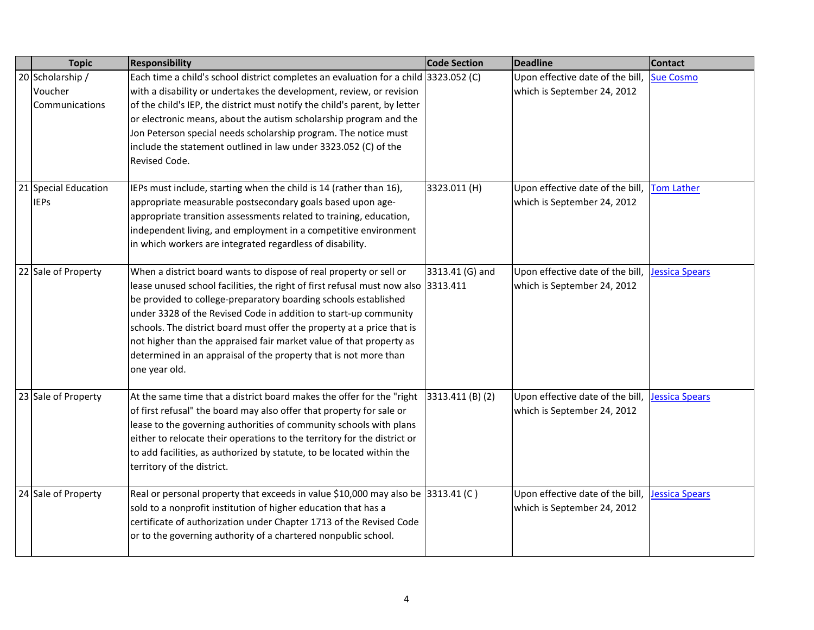| <b>Topic</b>                                  | <b>Responsibility</b>                                                                                                                                                                                                                                                                                                                                                                                                                                                                                                                | <b>Code Section</b> | <b>Deadline</b>                                                           | <b>Contact</b>        |
|-----------------------------------------------|--------------------------------------------------------------------------------------------------------------------------------------------------------------------------------------------------------------------------------------------------------------------------------------------------------------------------------------------------------------------------------------------------------------------------------------------------------------------------------------------------------------------------------------|---------------------|---------------------------------------------------------------------------|-----------------------|
| 20 Scholarship /<br>Voucher<br>Communications | Each time a child's school district completes an evaluation for a child 3323.052 (C)<br>with a disability or undertakes the development, review, or revision<br>of the child's IEP, the district must notify the child's parent, by letter<br>or electronic means, about the autism scholarship program and the<br>Jon Peterson special needs scholarship program. The notice must<br>include the statement outlined in law under 3323.052 (C) of the<br>Revised Code.                                                               |                     | Upon effective date of the bill, Sue Cosmo<br>which is September 24, 2012 |                       |
| 21 Special Education<br><b>IEPs</b>           | IEPs must include, starting when the child is 14 (rather than 16),<br>appropriate measurable postsecondary goals based upon age-<br>appropriate transition assessments related to training, education,<br>independent living, and employment in a competitive environment<br>in which workers are integrated regardless of disability.                                                                                                                                                                                               | 3323.011(H)         | Upon effective date of the bill,<br>which is September 24, 2012           | <b>Tom Lather</b>     |
| 22 Sale of Property                           | When a district board wants to dispose of real property or sell or<br>lease unused school facilities, the right of first refusal must now also 3313.411<br>be provided to college-preparatory boarding schools established<br>under 3328 of the Revised Code in addition to start-up community<br>schools. The district board must offer the property at a price that is<br>not higher than the appraised fair market value of that property as<br>determined in an appraisal of the property that is not more than<br>one year old. | 3313.41 (G) and     | Upon effective date of the bill,<br>which is September 24, 2012           | <b>Jessica Spears</b> |
| 23 Sale of Property                           | At the same time that a district board makes the offer for the "right<br>of first refusal" the board may also offer that property for sale or<br>lease to the governing authorities of community schools with plans<br>either to relocate their operations to the territory for the district or<br>to add facilities, as authorized by statute, to be located within the<br>territory of the district.                                                                                                                               | 3313.411 (B) (2)    | Upon effective date of the bill,<br>which is September 24, 2012           | <b>Jessica Spears</b> |
| 24 Sale of Property                           | Real or personal property that exceeds in value \$10,000 may also be 3313.41 (C)<br>sold to a nonprofit institution of higher education that has a<br>certificate of authorization under Chapter 1713 of the Revised Code<br>or to the governing authority of a chartered nonpublic school.                                                                                                                                                                                                                                          |                     | Upon effective date of the bill,<br>which is September 24, 2012           | <b>Jessica Spears</b> |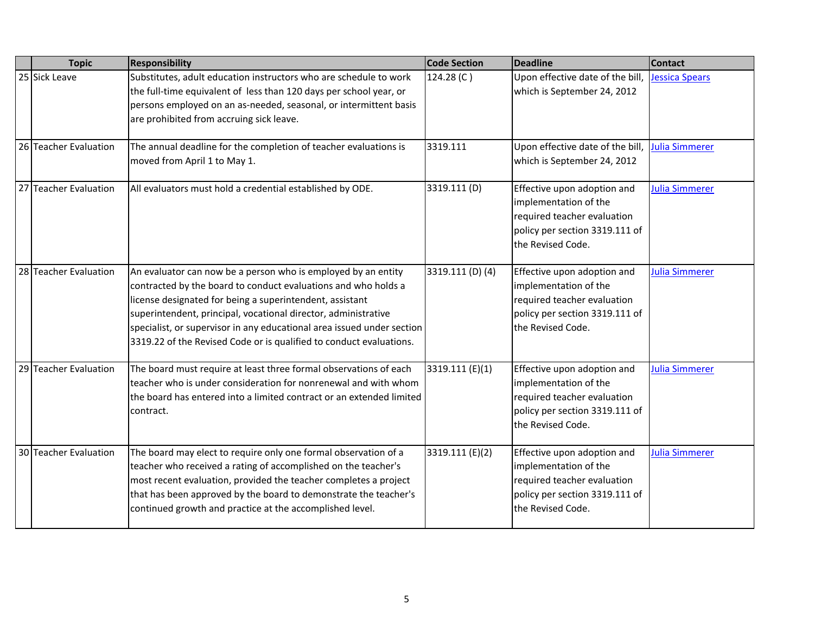| <b>Topic</b>          | <b>Responsibility</b>                                                                                                                                                                                                                                                                                                                                                                                          | <b>Code Section</b> | <b>Deadline</b>                                                                                                                            | <b>Contact</b>        |
|-----------------------|----------------------------------------------------------------------------------------------------------------------------------------------------------------------------------------------------------------------------------------------------------------------------------------------------------------------------------------------------------------------------------------------------------------|---------------------|--------------------------------------------------------------------------------------------------------------------------------------------|-----------------------|
| 25 Sick Leave         | Substitutes, adult education instructors who are schedule to work<br>the full-time equivalent of less than 120 days per school year, or<br>persons employed on an as-needed, seasonal, or intermittent basis<br>are prohibited from accruing sick leave.                                                                                                                                                       | 124.28 (C)          | Upon effective date of the bill,<br>which is September 24, 2012                                                                            | <b>Jessica Spears</b> |
| 26 Teacher Evaluation | The annual deadline for the completion of teacher evaluations is<br>moved from April 1 to May 1.                                                                                                                                                                                                                                                                                                               | 3319.111            | Upon effective date of the bill,<br>which is September 24, 2012                                                                            | Julia Simmerer        |
| 27 Teacher Evaluation | All evaluators must hold a credential established by ODE.                                                                                                                                                                                                                                                                                                                                                      | 3319.111 (D)        | Effective upon adoption and<br>implementation of the<br>required teacher evaluation<br>policy per section 3319.111 of<br>the Revised Code. | Julia Simmerer        |
| 28 Teacher Evaluation | An evaluator can now be a person who is employed by an entity<br>contracted by the board to conduct evaluations and who holds a<br>license designated for being a superintendent, assistant<br>superintendent, principal, vocational director, administrative<br>specialist, or supervisor in any educational area issued under section<br>3319.22 of the Revised Code or is qualified to conduct evaluations. | 3319.111 (D) (4)    | Effective upon adoption and<br>implementation of the<br>required teacher evaluation<br>policy per section 3319.111 of<br>the Revised Code. | <b>Julia Simmerer</b> |
| 29 Teacher Evaluation | The board must require at least three formal observations of each<br>teacher who is under consideration for nonrenewal and with whom<br>the board has entered into a limited contract or an extended limited<br>contract.                                                                                                                                                                                      | 3319.111 (E)(1)     | Effective upon adoption and<br>implementation of the<br>required teacher evaluation<br>policy per section 3319.111 of<br>the Revised Code. | <b>Julia Simmerer</b> |
| 30 Teacher Evaluation | The board may elect to require only one formal observation of a<br>teacher who received a rating of accomplished on the teacher's<br>most recent evaluation, provided the teacher completes a project<br>that has been approved by the board to demonstrate the teacher's<br>continued growth and practice at the accomplished level.                                                                          | 3319.111 (E)(2)     | Effective upon adoption and<br>implementation of the<br>required teacher evaluation<br>policy per section 3319.111 of<br>the Revised Code. | <b>Julia Simmerer</b> |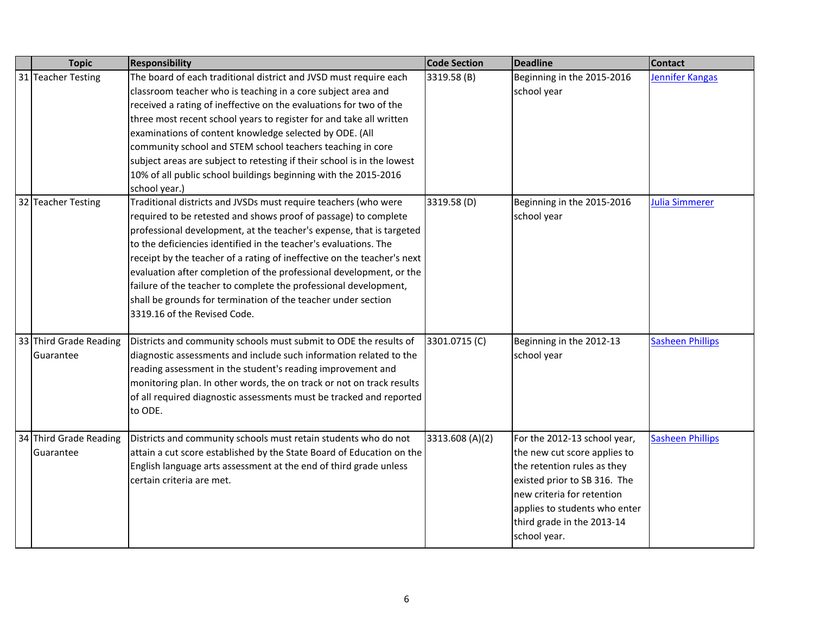| <b>Topic</b>                        | <b>Responsibility</b>                                                                                                                                                                                                                                                                                                                                                                                                                                                                                                                                                                                 | <b>Code Section</b> | <b>Deadline</b>                                                                                                                                                                                                                          | <b>Contact</b>          |
|-------------------------------------|-------------------------------------------------------------------------------------------------------------------------------------------------------------------------------------------------------------------------------------------------------------------------------------------------------------------------------------------------------------------------------------------------------------------------------------------------------------------------------------------------------------------------------------------------------------------------------------------------------|---------------------|------------------------------------------------------------------------------------------------------------------------------------------------------------------------------------------------------------------------------------------|-------------------------|
| 31 Teacher Testing                  | The board of each traditional district and JVSD must require each<br>classroom teacher who is teaching in a core subject area and<br>received a rating of ineffective on the evaluations for two of the<br>three most recent school years to register for and take all written<br>examinations of content knowledge selected by ODE. (All<br>community school and STEM school teachers teaching in core<br>subject areas are subject to retesting if their school is in the lowest<br>10% of all public school buildings beginning with the 2015-2016<br>school year.)                                | 3319.58 (B)         | Beginning in the 2015-2016<br>school year                                                                                                                                                                                                | Jennifer Kangas         |
| 32 Teacher Testing                  | Traditional districts and JVSDs must require teachers (who were<br>required to be retested and shows proof of passage) to complete<br>professional development, at the teacher's expense, that is targeted<br>to the deficiencies identified in the teacher's evaluations. The<br>receipt by the teacher of a rating of ineffective on the teacher's next<br>evaluation after completion of the professional development, or the<br>failure of the teacher to complete the professional development,<br>shall be grounds for termination of the teacher under section<br>3319.16 of the Revised Code. | 3319.58 (D)         | Beginning in the 2015-2016<br>school year                                                                                                                                                                                                | <b>Julia Simmerer</b>   |
| 33 Third Grade Reading<br>Guarantee | Districts and community schools must submit to ODE the results of<br>diagnostic assessments and include such information related to the<br>reading assessment in the student's reading improvement and<br>monitoring plan. In other words, the on track or not on track results<br>of all required diagnostic assessments must be tracked and reported<br>to ODE.                                                                                                                                                                                                                                     | 3301.0715 (C)       | Beginning in the 2012-13<br>school year                                                                                                                                                                                                  | <b>Sasheen Phillips</b> |
| 34 Third Grade Reading<br>Guarantee | Districts and community schools must retain students who do not<br>attain a cut score established by the State Board of Education on the<br>English language arts assessment at the end of third grade unless<br>certain criteria are met.                                                                                                                                                                                                                                                                                                                                                            | 3313.608 (A)(2)     | For the 2012-13 school year,<br>the new cut score applies to<br>the retention rules as they<br>existed prior to SB 316. The<br>new criteria for retention<br>applies to students who enter<br>third grade in the 2013-14<br>school year. | <b>Sasheen Phillips</b> |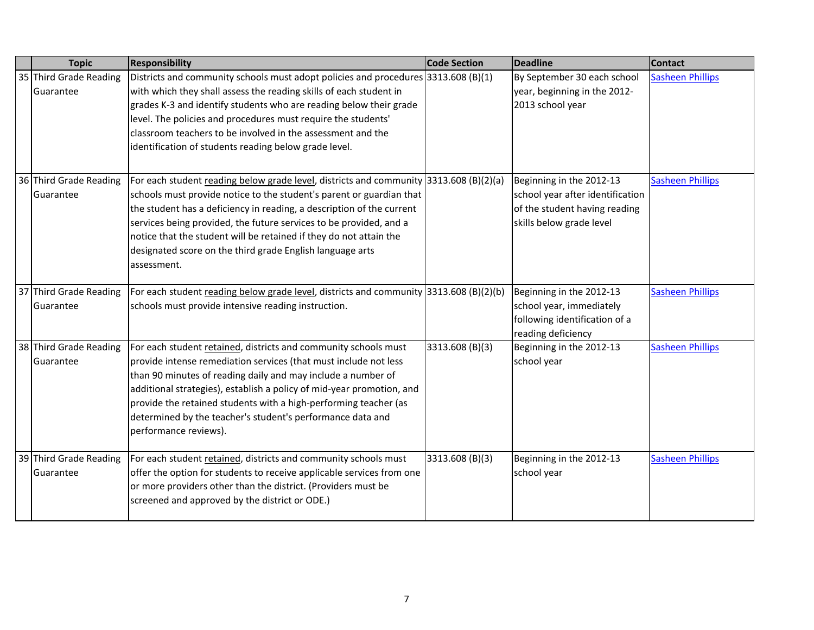| <b>Topic</b>                        | <b>Responsibility</b>                                                                                                                                                                                                                                                                                                                                                                                                                                           | <b>Code Section</b> | <b>Deadline</b>                                                                                                           | <b>Contact</b>          |
|-------------------------------------|-----------------------------------------------------------------------------------------------------------------------------------------------------------------------------------------------------------------------------------------------------------------------------------------------------------------------------------------------------------------------------------------------------------------------------------------------------------------|---------------------|---------------------------------------------------------------------------------------------------------------------------|-------------------------|
| 35 Third Grade Reading<br>Guarantee | Districts and community schools must adopt policies and procedures 3313.608 (B)(1)<br>with which they shall assess the reading skills of each student in<br>grades K-3 and identify students who are reading below their grade<br>level. The policies and procedures must require the students'<br>classroom teachers to be involved in the assessment and the<br>identification of students reading below grade level.                                         |                     | By September 30 each school<br>year, beginning in the 2012-<br>2013 school year                                           | <b>Sasheen Phillips</b> |
| 36 Third Grade Reading<br>Guarantee | For each student reading below grade level, districts and community 3313.608 (B)(2)(a)<br>schools must provide notice to the student's parent or guardian that<br>the student has a deficiency in reading, a description of the current<br>services being provided, the future services to be provided, and a<br>notice that the student will be retained if they do not attain the<br>designated score on the third grade English language arts<br>assessment. |                     | Beginning in the 2012-13<br>school year after identification<br>of the student having reading<br>skills below grade level | <b>Sasheen Phillips</b> |
| 37 Third Grade Reading<br>Guarantee | For each student reading below grade level, districts and community 3313.608 (B)(2)(b)<br>schools must provide intensive reading instruction.                                                                                                                                                                                                                                                                                                                   |                     | Beginning in the 2012-13<br>school year, immediately<br>following identification of a<br>reading deficiency               | <b>Sasheen Phillips</b> |
| 38 Third Grade Reading<br>Guarantee | For each student retained, districts and community schools must<br>provide intense remediation services (that must include not less<br>than 90 minutes of reading daily and may include a number of<br>additional strategies), establish a policy of mid-year promotion, and<br>provide the retained students with a high-performing teacher (as<br>determined by the teacher's student's performance data and<br>performance reviews).                         | 3313.608 (B)(3)     | Beginning in the 2012-13<br>school year                                                                                   | <b>Sasheen Phillips</b> |
| 39 Third Grade Reading<br>Guarantee | For each student retained, districts and community schools must<br>offer the option for students to receive applicable services from one<br>or more providers other than the district. (Providers must be<br>screened and approved by the district or ODE.)                                                                                                                                                                                                     | 3313.608 (B)(3)     | Beginning in the 2012-13<br>school year                                                                                   | <b>Sasheen Phillips</b> |